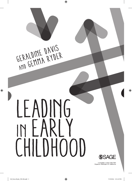GERALDINE DAVIS<br>GERALDINE DAVIS

# LEADING INEARLY CHII DHOOD



Los Angeles | London | New Delhi<br>Singapore | Washington DC | Melbourne

⊕

⊕

 $\bigoplus$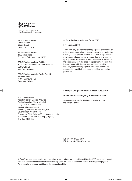

Los Angeles | London | New Delhi Singapore | Washington DC | Melbourne

SAGE Publications Ltd 1 Oliver's Yard 55 City Road London EC1Y 1SP

Editor: Jude Bowen

⊕

Assistant editor: George Knowles Production editor: Nicola Marshall Copyeditor: Audrey Scriven Indexer: Silvia Benvenuto

SAGE Publications Inc. 2455 Teller Road Thousand Oaks, California 91320

SAGE Publications India Pvt Ltd B 1/I 1 Mohan Cooperative Industrial Area Mathura Road New Delhi 110 044

SAGE Publications Asia-Pacific Pte Ltd 3 Church Street #10-04 Samsung Hub Singapore 049483

Geraldine Davis & Gemma Ryder, 2016

First published 2016

 $\textcolor{red}{\bigoplus}$ 

Apart from any fair dealing for the purposes of research or private study, or criticism or review, as permitted under the Copyright, Designs and Patents Act, 1988, this publication may be reproduced, stored or transmitted in any form, or by any means, only with the prior permission in writing of the publishers, or in the case of reprographic reproduction, in accordance with the terms of licences issued by the Copyright Licensing Agency. Enquiries concerning reproduction outside those terms should be sent to the publishers.

#### **Library of Congress Control Number: 2016931616**

#### **British Library Cataloguing in Publication data**

A catalogue record for this book is available from the British Library

Marketing manager: Dilhara Attygalle Cover design: Wendy Scott Typeset by: C&M Digitals (P) Ltd, Chennai, India Printed and bound by CPI Group (UK) Ltd, Croydon, CRO 4YY

> ISBN 978-1-47392-947-0 ISBN 978-1-47392-948-7 (pbk)

At SAGE we take sustainability seriously. Most of our products are printed in the UK using FSC papers and boards. When we print overseas we ensure sustainable papers are used as measured by the PREPS grading system. We undertake an annual audit to monitor our sustainability.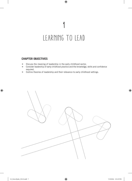# 1 Learning to Lead

 $\bigoplus$ 

# **CHAPTER OBJECTIVES**

- $\rightarrow$  Discuss the meaning of leadership in the early childhood sector.
- $\rightarrow$  Consider leadership of early childhood practice and the knowledge, skills and confidence required.
- $\rightarrow$  Outline theories of leadership and their relevance to early childhood settings.



 $\bigoplus$ 

 $\bigoplus$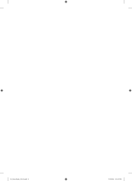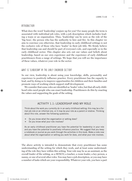#### Introduction

What does the word 'leadership' conjure up for you? For many people the term is associated with individual job roles, with a job description which includes leading a team or an organisation. Thus, 'leadership' can be seen as the role of the 'big boss', the person who has the authority to hire and fire. In this chapter we aim to convince you otherwise, that leadership in early childhood settings is not the exclusive role of those who have 'leader' in their job title. We firmly believe that leadership can and should be part of everyone's role, and especially so in the early childhood sector. This chapter also sets out our values and beliefs about leadership, based on our own experience and the experience of early childhood practitioners from a range of settings. We hope that you will see the importance of these values, whatever your role in the sector.

⊕

#### What is 'leadership' in the early childhood sector?

In our view, leadership is about using your knowledge, skills, personality and experience to positively influence practice. Every practitioner has the capacity to lead, and by doing so to improve opportunities for children and their families and promote ways of working which support staff development.

We consider that some roles are identified as 'leader' roles, but that all early childhood roles need people who can enact leadership. Practitioners do this by enacting the values and supporting the goals of the setting.

#### ACTIVITY 1.1: LEADERSHIP AND MY ROLE

Think about the work you currently do in an early childhood setting: this may be a formal job role or an informal one, or it may be your role as a parent or relative. Thinking about this role, answer the following questions:

- Do you know what the organisation or setting does?
- Do you know what your role involves?

As an early childhood practitioner you have the potential for leadership in your role and you have the potential to positively influence practice. We suggest that you keep a notebook or journal as you work through the activities in this book. Make a note now about what the organisation or setting you work for does, and what your role involves.

The above activity is intended to demonstrate that every practitioner has some understanding of the setting for which they work, and at least some understanding of the role they have within this setting. Your role may be as an assistant, as the overall leader of the setting, as a SENCO, a teacher, a room leader, a key person, a nanny, or one of several other roles. You may have a job description, or you may have a number of tasks which are your responsibility. Whatever your role, you have a part

01\_Davis Ryder\_Ch-01.indd 9 7/19/2016 3:51:25 PM

♠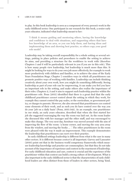to play. In this book leadership is seen as a component of every person's work in the early childhood sector. One participant in our research for this book, a senior early years educator, indicated what leadership meant to her:

⊕

'I think it means guiding and mentoring others, having the knowledge and confidence to deal with situations, and supporting others that have less knowledge of an area, so you can help them, and having ideas and implementing them and showing best practice, so others copy your good role model'.

Leadership may be taking overall responsibility for a whole setting or several settings, putting in place policies and procedures to enable the setting to achieve its aims, and providing a structure for the workforce to work with (therefore Chapters 5 and 6 will be particularly relevant to you if you are in this role). This is how many people view leadership, but leadership is much more than this. It might be looking for ways to do your own job more effectively, for example to work more productively with children and families, or to achieve the aims of the Early Years Foundation Stage. Chapter 7 considers ways in which all practitioners can promote positive ways of working with families. Leadership can include thinking creatively about your own work, how you might do something differently. Seeing leadership as part of your role can be empowering, it can make you feel you have an important role in the setting, and make others also realise the importance of their roles. Chapters 2, 3 and 4 aim to support such leadership practice within the practitioner role. Penn (2011) identified that there is a great deal that the early childhood practitioner *cannot* control about the setting in which they work, for example they cannot control the pay scales, or the curriculum, or government policy, or charges to parents. However, she also stressed that practitioners *can* control some elements of their work, and as such you do have control over the way you do your 'job on a daily basis' (Penn, 2011:149). As an example, one practitioner in our study, an early years educator, described that when she first started her job she suggested rearranging the way the room was laid out. As the room leader she discussed this with her manager and the other staff, and was encouraged to make this change. The very next day, furniture was moved around with the aim of improving the flow of the room: 'a home corner, and moving the cosy area away from the window, and moving the books … '. The other practitioners in the room were pleased with the way it made an improvement. This example demonstrates the leadership that practitioners can exert over their practice.

In early childhood settings leadership is different from what is the case in many other sectors. It is different because *context* is all important. Garvey and Lancaster (2010) point out that in the business world competency frameworks which measure leadership knowledge and practice are commonplace, but that they do not take account of the importance of experience and context in the enactment of leadership. For early childhood education and care, context is crucial and the experience of the practitioner within that context can build a strong culture of development. What is also important in the early childhood sector is that the characteristics of early childhood leaders are often distinct from those of leaders in other sectors, being 'kind,

⊕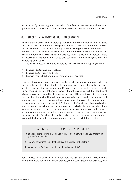warm, friendly, nurturing and sympathetic' (Aubrey, 2011: 30). It is these same qualities which will support you to develop leadership in early childhood settings.

⊕

#### Leadership of the organisation and leadership of practice

The different ways in which leadership is enacted are usefully identified by Whalley (2011b). In her consideration of the professionalisation of early childhood practice she identified two aspects of leadership, namely leading an organisation and leading practice. In this book we have devoted some chapters to specific roles within the early childhood workforce (leader of a setting, room leader, the key person). Here it is worth thinking about the overlap between leadership of the organisation and leadership of practice.

If asked the question 'What do leaders do?' three key elements spring to mind:

- $\rightarrow$  Leaders identify and enact values.
- $\rightarrow$  Leaders set the vision and goals.
- $\rightarrow$  Leaders ensure legal and moral responsibilities are met.

However, these aspects of leadership can be enacted at many different levels. For example, the identification of values for a setting will typically be led by the main identified leader within the setting (and Chapter 6 focuses on leadership across a setting or settings), but a collaborative leader will want to encourage all the members of a team to have their say in this. If you are a member of the workforce within a setting, you can show leadership through your willingness to contribute to the development and identification of these shared values. In his book which considers how organisations are structured, Morgan (2006: 137) discusses the 'enactment of a shared reality' and the value of this to the success of organisations. Early childhood settings have their own culture in which beliefs, vision and values are shared, and where children, families and community can be understood and supported through these shared values, vision and beliefs. Thus, the collaboration between various members of the workforce to undertake the job of leadership is important in the early childhood sector.

#### ACTIVITY 1.2: THE OPPORTUNITY TO LEAD

Thinking about the setting in which you work, or a setting with which you are familiar, ask yourself the question:

Do you sometimes think that changes are needed in the setting?

If your answer is 'Yes', what would you then do about this?

You will need to consider this need for change. You have the potential for leadership in that you could reflect on current practice, think about alternative practice, read

⊕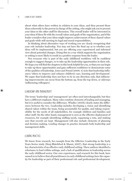about what others have written in relation to your ideas, and then present those ideas coherently to the person in charge of the setting, who might ask you to present your ideas to the other staff for discussion. This overall leader will be interested in your ideas if these fit with the overall values and goals of the organisation, and if the leader considers that your ideas might improve achievement of these shared values and goals while still meeting its legal and moral responsibilities.

⊕

In thinking about alternative ways of working you are clearly recognising that your role includes leadership. You may not have the final say as to whether your ideas will be implemented, but you are offering your experienced and informed view about potential changes. Doing this in a way which supports the organisation or setting is more likely to result in a positive response from the leader.

Not everyone who is part of the early childhood workforce will be confident enough to suggest changes, or to take up the leadership opportunities in their role. We hope you will find the chapters in this book helpful for you, so that you can begin to take up these opportunities and gain sufficient confidence to demonstrate some of the qualities of leadership. Jones and Pound (2008: 4) note that leadership influences 'others to improve and enhance children's care, learning and development'. We argue that leadership does not have to be in one direction only, that influencing improvements can occur from the bottom up, from the top down, or sideways (influencing colleagues).

#### Leadership and management

⊕

The terms 'leadership' and 'management' are often used interchangeably, but they have a different emphasis. Many roles combine elements of leading and managing, but it is useful to consider the difference. Whalley (2011b) clearly states the differences between the two. Leadership includes developing a vision and identifying shared values within the team, being accountable for quality, and taking responsibility for the needs of all stakeholders, for example children and families and other staff. On the other hand, management is seen as the effective deployment of resources, for example identifying staffing needs, organising a rota, and making sure that records are kept. Management will also include elements of planning and decision making. Leading changes in practice demands both leadership and management skills.

#### Leading practice

We know from research, for example from the Effective Leadership in the Early Years Sector study (Siraj-Blatchford & Manni, 2007), that strong leadership is a key characteristic of an effective early childhood setting. These authors identified a reluctance to lead within settings, and a lack of qualifications in leadership across the early childhood sector. Our own experiences, and research for this book, have caused us to believe that all practitioners in early childhood settings have the capacity for leadership as part of their professional role and professional development.

01\_Davis Ryder\_Ch-01.indd 12 7/19/2016 3:51:25 PM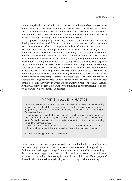In our view, the element of leadership which can be undertaken by *all practitioners* is the leadership of *practice*. Elements of leading practice identified by Whalley (2011a) include: being reflective and reflexive; having knowledge and understanding of children and their development; having knowledge and understanding of learning; valuing the child; and having a vision for practice.

⊕

To support leadership of practice, these elements can be incorporated into the development of all early childhood practitioners. For example, each practitioner can be encouraged to reflect on their practice and consider changes to practice. This can be done informally by the practitioner and by others in the setting on an ad hoc basis, but also formally with mentors. Although many starting practitioners will have no or limited knowledge of child development or of learning, this can be built into the development of the member of staff, through induction activities, expectations, reading and sharing in the setting. Valuing the child is an expected 'value' which can be reinforced by the culture of the setting, and as practitioners take this on board they can contribute to the culture, for example through reflection on activities within the setting and how those activities demonstrate the value of the child. A vision for practice is often something new employees have, or they can see different ways of doing things – this is to be encouraged, so that through reflection the need for changes in practice can be identified and planned for. The final chapter of this book considers ways in which we can improve practice through reflection. Activity 1.3 below is intended to support you in thinking about working collaboratively to support developments in practice.

# ACTIVITY 1.3: VALUES IN PRACTICE

Esme is a new member of staff who has not worked in an early childhood setting before. She has noticed that the boys seem to avoid the dressing-up corner, whereas the girls play there quite often. When the manager asks her how she is settling in, Esme raises this point.

The manager suggests that Esme finds out more about what the curriculum says about opportunities to dress up, and also finds out what other staff think about this issue. Esme asks the manager if it is acceptable for her to ask the boys about dressing up, and the manager agrees.

When Esme asks the staff they are willing to share their experiences and ideas with her, and also suggest that she brings her ideas to the next team meeting.

Who is leading practice in this scenario?

In this example leadership of practice is demonstrated not only by Esme (who sees that something could change) and her manager (who is willing to support Esme to find out more and suggest changes), but also by the other staff who are willing to listen to ideas and suggest a mechanism to discuss those ideas and potentially make a change (the meeting). Discussing issues with the children (as Esme proposes) draws the children into leading development and change within the setting.

♠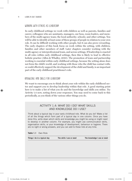#### Working with others as leadership

In early childhood settings we work with children as well as parents, families and carers; colleagues who are assistants, managers, our boss, room leaders, and members of the multi-agency team; the local authority; schools; and other settings. You will be able to identify at least some of these groups of people in relation to your own role. It can be difficult working with other people, but it can also prove rewarding. The early chapters of this book focus on work within the setting, with children, families and other members of staff. Later chapters consider working with the multi-agency or interprofessional team, and across settings. If leadership is enacted in all roles within early childhood settings, then this is likely to lead to effective holistic practice (Allen & Whalley, 2010). The promotion of team and partnership working is essential within early childhood settings, because the setting alone does not form the child's world, and working with those who the child has contact with, or could effectively support the development of the child and family, is an important part of the early childhood practitioner's role.

⊕

#### Knowledge and skills for leadership

We want to encourage you to think about your role within the early childhood sector and support you to develop leadership within that role. A good starting point here is to make a list of what you do and the knowledge and skills you utilise. Try Activity 1.4 now, noting down your responses. You may need to come back to this periodically, as you think of the various other things you do.

## ACTIVITY 1.4: WHAT DO I DO? WHAT SKILLS AND KNOWLEDGE DO I USE?

Think about a typical day in your early childhood role. What do you do? Make a list of all the things which form part of a typical day in one column. Once you have done this, write down which skills and knowledge you might be using or might need to develop in another column. For example, you might use communication skills, organisation skills, or your knowledge of development, behaviour or hygiene. There are no right or wrong answers, and you can add to these lists at any time.

**Table 1.1** Own Role

**Things I do in a typical day The skills I use or need The knowledge I use or need**

♠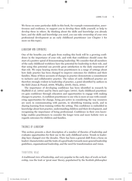We focus on some particular skills in this book, for example communication, assertiveness and resilience, to support you to develop these skills yourself, or help to develop these in others. By thinking about the skills and knowledge you already have, and the skills and knowledge you need, you can take ownership of your own professional development as an early childhood practitioner (see Chapter 5 for more on this topic).

⊕

#### Leadership and confidence

One of the benefits you will gain from reading this book will be a growing confidence in the importance of your role, and with that confidence should come the start of a positive spiral of demonstrating leadership. We consider that all members of the early childhood workforce have the potential for leadership in their role, and that using this potential can provide great satisfaction in the daily enactment of that role. We enjoy hearing stories from practitioners in a range of settings about how daily practice has been changed to improve outcomes for children and their families. Many of these accounts of changes in practice demonstrate a commitment to inclusive and collaborative practice. The values of early childhood practice are therefore strongly evident in leadership of practice, a point identified by authors in the field (Jones & Pound, 2008; Whalley, 2011b; Davis, 2012).

The importance of developing confidence has been identified in research by Hadfield et al. (2012) and by Davis and Capes (2013). Early childhood practitioners gain confidence through education and opportunities to engage with making changes to practice. A confident practitioner is one who is more at ease with considering opportunities for change, being pro-active in considering the way resources are used, in communicating with parents, in identifying training needs, and in sharing learning from training within the setting. This confidence is embedded in knowledge about best practice, understanding children and their development, and recognising the importance of being professional. Confidence in their own knowledge enables practitioners to consider the longer term and more holistic view as regards outcomes for children and families.

#### Theories of leadership

This section presents a short description of a number of theories of leadership and evaluates opportunities for their use in the early childhood sector. Trends in leadership have changed over the decades. There has been a general shift from a focus on leaders' characteristics and the traits of a good leader towards more general leadership guidelines, organisational leadership, and the need for transformation and vision.

#### Traditional views

A traditional view of leadership, and very popular in the early days of work on leadership, was the trait or 'great man' theory, popularised by the Scottish philosopher

⊕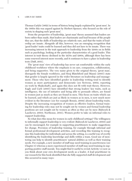Thomas Carlyle (1869) in terms of history being largely explained by 'great men'. In the 1860s this was argued against by Herbert Spencer, who focused on the role of society in shaping such 'great men'.

⊕

From the perspective of leadership, 'great man' theory assumed that leaders are born rather than made, that leaders are charismatic and lead because of the people they are, that the skills of leadership are relatively rare, and that the traits of leadership are innate. Alongside all this, however, was an emerging recognition that 'good leader' traits could be learned and thus did not have to be innate. There was increasing interest in the trait approach to leadership from the 1940s on in fields such as psychology, looking at the particular characteristics of a good leader. This interest in trait theory declined in the 1970s and 1980s, although there has been some renewed interest more recently, and it continues to have a place in leadership texts (Daft, 2011).

The 'great man' view of leadership has never sat comfortably within the early childhood workforce where the emphasis is on care, compassion, collaboration, and being supportive. The very name given to the original theory, 'great man', disregards the female workforce, and Siraj Blatchford and Manni (2007) state that gender is largely ignored in the wider literature on leadership and management. Those who have identified gender in leadership writing tend to identify women as more participatory and democratic (see Scrivens, 2002, reporting on work by Shakeshaft), and again this does not fit with trait theory. However, Eagly and Carli (2007) have identified that strong leaders' key traits, such as intelligence, the use of initiative and being able to persuade others, are found in women just as much as they are found in men. This focus on traits which can be learned, and which are just as likely in women as in men, is now much more evident in the literature (see for example Bennis, 2009) about leadership traits. Despite the increasing recognition of women as effective leaders, formal training for leadership roles may not be sought out by women and formal leadership positions are not sought out by women as often as they are by men (Babcock & Laschever, 2003; Northouse, 2015). Women prefer to take on informal roles to support leadership.

So what does this mean for women in early childhood settings? The willingness to informally support leadership is very evident (Babcock & Laschever, 2003) and can be encouraged, for example in supporting practitioners to make suggestions for change. Provision of leadership training, for example through informal and formal professional development activities, and recording this training to recognise this leadership for individuals and across the setting, is a useful way of overtly identifying the leadership knowledge and skills within a team. Good use of mentoring can help to identify practitioners' natural abilities as well as their training needs. For example, a new member of staff may need training in assertiveness (see Chapter 3) whereas a more experienced member of staff may need training in supporting positive staff morale. You might find it useful to revisit Activity 1.4 now as you think about your own development needs as a leader. A lead practitioner in our research for this book identified that she fully supported staff development and this occurred in many ways:

⊕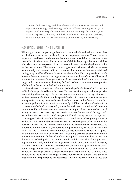'Through daily coaching, and through our performance review system, and supervision meetings, and training, we have different training pathways to support staff, our core pathway for everyone, and a senior pathway for anyone wanting to progress that way, and the leadership and management pathway, so lots of opportunities to access training both internally and externally'.

⊕

#### Organisational leadership and management

With larger, more complex organisations has come the introduction of more hierarchical and bureaucratic leadership and management systems. These are more impersonal and based on the notion that employees must follow procedures rather than think for themselves. This can be beneficial for large organisations with lots of workers as it can keep control, but workers will often consider they have no voice in the organisation. The recent rise in large-scale businesses which run nurseries nationally and develop policies at a national level means that early childhood settings may be affected by such bureaucratic leadership. This can provide real challenges if the staff values in a setting are not the same as those of the overall national organisation. A successful organisation will recognise the local contexts of its settings, and provide sufficient flexibility for local leaders to implement local policies which reflect the needs of the local community.

The technical-rational view holds that leadership should be confined to certain individuals in appointed leadership roles. Technical-rational approaches emphasise maintaining the status quo. Formal structures are present in the organisation to achieve pre-set goals. For example, specific leadership posts with specific functions and specific authority mean such roles have both power and influence. Leadership is often top-down in this model. For the early childhood workforce leadership of practice is embedded in every role, hence this technical-rational model does not sit comfortably with most settings. However, putting in place specific roles to lead change in practice can have very positive effects, as was demonstrated through studies of the Early Years Professional role (Hadfield et al., 2012; Davis & Capes, 2013).

A range of other leadership theories can be useful in considering the practice of leadership. For example behavioural theories of leadership consider what a leader does rather than who the leader is. Traditionally the leader has been characterised as autocratic and authoritarian, democratic and participative, or laissez-faire in their style (Daft, 2011). In many early childhood settings democratic leadership is appropriate, although this can be more time consuming because greater consultation and communication with the stakeholders is required. Many now have a view that democratic leadership does not go far enough, and distributed leadership is more appropriate for early childhood settings. For example, Jones and Pound (2008: 4) state that 'leadership is ultimately distributed, shared and dispersed in early childhood settings' and there is discussion in the literature about the use of distributed leadership in settings (see for example Heikka & Waniganayake, 2011). In this sense leadership is inclusive of the range of practitioners within a team, who are each enabled to take responsibility for best practice within their role and influence best

⊕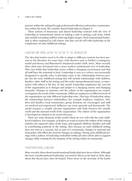practice within the setting through professional reflection and positive communication within the team. We consider shared leadership in Chapter 6.

⊕

These notions of democracy and shared leadership contrast with the view of leadership as transactional, based on leading a task or getting a job done, which may include rewarding staff for achieving higher targets. Such transactional leadership is often employed in call centres, but does not fit well with leadership in the complexities of early childhood settings.

#### Leadership and change within the culture of the organisation

The idea that leaders need to be able to adapt to different contexts has been present in the literature for some time, with theories such as Fiedler's contingency model and Hersey and Blanchard's situational model (Daft, 2011). More recently these ideas have developed into a more modern institutional view of leadership. This view holds that leadership occurs within a changing environment and that all staff have the potential to lead. Leadership is seen as a *culture*, not necessarily designated to specific roles. Leadership exists in the relationships between people (for the early childhood setting this will include relationships with children, families, other staff in the setting and the wider interprofessional team), so interaction with others is the key. In this model, leadership emphasises the survival of the organisation as it changes and adapts to a changing society and changing demands. Changes in structure and the culture of the organisation are considered against the needs of the community. Different employees at different levels of the organisation can take different leadership roles. This type of leadership values the relationships between stakeholders (for example employer, employee, children and families, local community), group decisions are encouraged, and staff are involved and empowered. Influence can occur upwards and downwards. The model assumes a socially relevant organisation with links between the outside world and the internal world of the organisation. The culture of the organisation is developed in relation to its social relevance.

There are some elements of this model which sit very well with the early childhood workforce. For example, as leaders we want to ensure the culture of the setting matches the espoused values of the team, and supports children, families and staff in contributing positively to the setting. Also, because an early childhood setting does not exist in a vacuum, but as part of a community, changes in national and local policy will reflect the need for changes in settings. Strong early childhood settings with a culture of leadership embedded within all roles will be able to support changes while working for the integrity of the setting within its community.

#### Transformational leadership

More recently, ideas about transformational leadership have been evident. Although the term 'transformational leadership' was used by Burns as far back as 1978, ideas about this theory have since developed. These focus on the necessity of the leader

⊕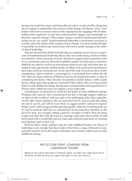having a new and clear vision, and being able not only to see the need for change but also to explain to stakeholders the purpose of that change (Northouse, 2015). Such leaders will need to motivate others in the organisation by engaging with all stakeholders both cognitively (so that they understand the change) and emotionally (so that they want the change). When major change is needed, transformational leadership can be very useful. Transformational leadership is particularly necessary to consider when the culture of the setting needs to change. A word of caution though: it is possible as a leader to get carried away with such a model, and ignore the values of shared leadership.

⊕

Theories of motivation linked to leadership are certainly not new, but as a component of transformational leadership theory they are worth noting. Earliest of these was Maslow's (1943) hierarchy of needs. This theory suggests that unsatisfied needs act as a motivator, and once the need is satisfied, another need becomes a motivator. Staff who are asked to work in an environment which is too cold, and where they are unable to take appropriate comfort breaks, are likely to be poorly motivated because their basic needs are not being met. At the top of the scale of needs are those of selfactualisation, where creativity is encouraged as a motivating force within the job role. There are many criticisms of Maslow's theory, but despite these there is value in considering the theory. Other theories of motivation include Adams' (1965) equity theory, which states that people are motivated if they believe they are being treated fairly. In early childhood settings, having open communication and opportunities to discuss issues within the team can support a sense of fair play.

Consideration of motivation is useful for the leader in early childhood settings. Working with someone who is demotivated can have a strongly negative influence on others in the workforce, and can make work challenging rather than enjoyable. On the other hand, employees who are motivated tend to want to make the setting the best it can be, and will be more likely to suggest positive actions to improve things. Locke (1968) proposed that agreeing specific, relatively stretching goals can be used to motivate staff who are unmotivated, by focusing their attention on the job to be done. For example, setting a goal for a member of staff to find out about a topic and share this with the team at a meeting could make that member of staff feel trusted with a worthwhile and new task, and could also help them see learning and sharing as part of their role.

Work by Davis (2012) indicates that for early childhood leaders one theory of leadership is not enough, that these leaders draw from a range of theories to support their practice across the range of situations and activities which occur in early childhood settings.

# REFLECTION POINT: LEARNING FROM LEADERSHIP THEORY

Based on the outline description of theories above, jot down your ideas about which elements of these theories you might find useful in your own practice.

♠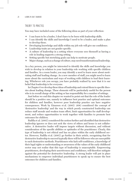#### Theory to practice

You may have included some of the following ideas as part of your reflection:

⊕

- $\rightarrow$  I can learn to be a leader, I don't have to be born with leadership skills.
- $\rightarrow$  I can identify the skills and knowledge I need to be a leader, and make a plan to develop these.
- $\rightarrow$  Developing knowledge and skills within my job role will give me confidence.
- $\rightarrow$  Leadership traits are not gender specific.
- $\rightarrow$  A culture of leadership in a setting where everyone sees themself as having a role in leading supports a strong setting.
- $\rightarrow$  Setting specific but stretching goals can help to motivate people.
- $\rightarrow$  Major change, such as a change of culture, may need transformational leadership.

As a key person, you might be interested to identify the skills and knowledge you wish to develop in relation to your leadership role working with specific children and families. As a room leader, you may identify a need to learn more about motivating staff and leading change. As a new member of staff, you might need to learn more about the curriculum and ways of working with children to lead their learning. Whichever role you occupy, you have probably realised by now that it is our belief that leadership is for everyone.

In Chapter 6 we develop these ideas of leadership and extend them to specific theories about leading change. These elements will be particularly useful for the person who is in overall charge of the setting or has responsibility for a number of settings.

Just before we end this chapter we wanted to point out that the role of the leader should be a positive one, namely to influence best practice and optimal outcomes for children and families, however poor leadership practice can have negative consequences. Work by Einarsen et al. (2007: 208) considered the concept of 'destructive leadership' and the way in which poorly constructed leadership can reduce staff morale and weaken team effort, limit opportunities for staff development, and reduce opportunities to work together with families to promote best outcomes for children.

Padilla et al. (2007) considered the notion further and identified that destructive leadership ignores or does not seek the views of others and hence is not collaborative. A destructive leader will impose targets without discussion, and without consideration of the specific abilities or aptitudes of the practitioner. Clearly, this type of leadership is not ethical and has no place within the early childhood sector. However, Padilla et al. (2007) go further in their article, recognising that for destructive leadership to succeed typically there will be followers who are susceptible to such destructive methods. Practitioners who lack self-confidence, a knowledge of their legal rights or understanding or awareness of the values of the early childhood sector may not realise that this type of leadership is unacceptable. Empowering practitioners, developing their assertiveness and confidence, will therefore mitigate against the potential for destructive leadership. A strong leader will put in place mechanisms to empower individual practitioners to speak up to ensure the best outcomes for children and families.

⊕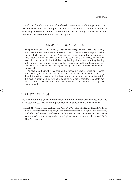We hope, therefore, that you will realise the consequences of failing to enact positive and constructive leadership in your role. Leadership can be a powerful tool for improving outcomes for children and their families, but failing to enact such leadership could have significant negative consequences.

 $\textcircled{\scriptsize{*}}$ 

## SUMMARY AND CONCLUSIONS

We agree with Jones and Pound (2008: 4) who recognise that 'everyone in early years care and education needs to develop their professional knowledge and skills and adopt a leadership … approach'. Working as a practitioner within an early childhood setting you will be involved with at least one of the following elements of leadership: leading a child in their learning; leading within a whole setting; leading within a room; being a key person; leading across many settings; leading people; leadership with parents and families; leadership with other professionals; reflecting on leadership.

We have identified within this chapter that there are many theoretical approaches to leadership, and that practitioners can draw from these approaches where they fit with the setting. Leadership involves people, so much of what is written within this book is about working with others, namely children, parents, other staff. We hope we have convinced you that everyone who works in a setting has scope for leading practice.

Recommended further reading

⊕

We recommend that you explore the video material, and research findings, from the EYPS study to see how different practitioners enact leadership in their roles:

Hadfield, M., Jopling, M., Needham, M., Waller, T., Coleyshaw, L., Emira, M. and Royle, K. (2012) *Longitudinal Study of Early Years Professional Status: An exploration of progress, leadership and impact: Final report*. London: Department for Education. Available at www.gov.uk/government/uploads/system/uploads/attachment\_data/file/183418/DfE-RR239c\_report.pdf